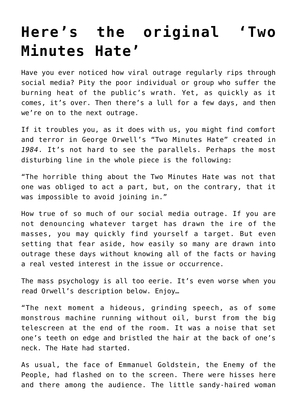## **[Here's the original 'Two](https://intellectualtakeout.org/2016/03/heres-the-original-two-minutes-hate/) [Minutes Hate'](https://intellectualtakeout.org/2016/03/heres-the-original-two-minutes-hate/)**

Have you ever noticed how viral outrage regularly rips through social media? Pity the poor individual or group who suffer the burning heat of the public's wrath. Yet, as quickly as it comes, it's over. Then there's a lull for a few days, and then we're on to the next outrage.

If it troubles you, as it does with us, you might find comfort and terror in George Orwell's "Two Minutes Hate" created in *1984*. It's not hard to see the parallels. Perhaps the most disturbing line in the whole piece is the following:

"The horrible thing about the Two Minutes Hate was not that one was obliged to act a part, but, on the contrary, that it was impossible to avoid joining in."

How true of so much of our social media outrage. If you are not denouncing whatever target has drawn the ire of the masses, you may quickly find yourself a target. But even setting that fear aside, how easily so many are drawn into outrage these days without knowing all of the facts or having a real vested interest in the issue or occurrence.

The mass psychology is all too eerie. It's even worse when you read Orwell's description below. Enjoy…

"The next moment a hideous, grinding speech, as of some monstrous machine running without oil, burst from the big telescreen at the end of the room. It was a noise that set one's teeth on edge and bristled the hair at the back of one's neck. The Hate had started.

As usual, the face of Emmanuel Goldstein, the Enemy of the People, had flashed on to the screen. There were hisses here and there among the audience. The little sandy-haired woman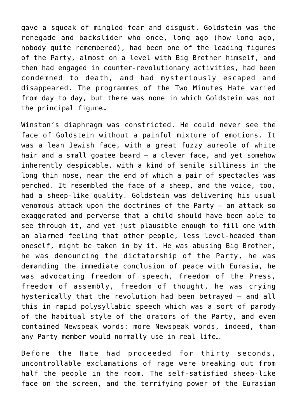gave a squeak of mingled fear and disgust. Goldstein was the renegade and backslider who once, long ago (how long ago, nobody quite remembered), had been one of the leading figures of the Party, almost on a level with Big Brother himself, and then had engaged in counter-revolutionary activities, had been condemned to death, and had mysteriously escaped and disappeared. The programmes of the Two Minutes Hate varied from day to day, but there was none in which Goldstein was not the principal figure…

Winston's diaphragm was constricted. He could never see the face of Goldstein without a painful mixture of emotions. It was a lean Jewish face, with a great fuzzy aureole of white hair and a small goatee beard — a clever face, and yet somehow inherently despicable, with a kind of senile silliness in the long thin nose, near the end of which a pair of spectacles was perched. It resembled the face of a sheep, and the voice, too, had a sheep-like quality. Goldstein was delivering his usual venomous attack upon the doctrines of the Party — an attack so exaggerated and perverse that a child should have been able to see through it, and yet just plausible enough to fill one with an alarmed feeling that other people, less level-headed than oneself, might be taken in by it. He was abusing Big Brother, he was denouncing the dictatorship of the Party, he was demanding the immediate conclusion of peace with Eurasia, he was advocating freedom of speech, freedom of the Press, freedom of assembly, freedom of thought, he was crying hysterically that the revolution had been betrayed — and all this in rapid polysyllabic speech which was a sort of parody of the habitual style of the orators of the Party, and even contained Newspeak words: more Newspeak words, indeed, than any Party member would normally use in real life…

Before the Hate had proceeded for thirty seconds, uncontrollable exclamations of rage were breaking out from half the people in the room. The self-satisfied sheep-like face on the screen, and the terrifying power of the Eurasian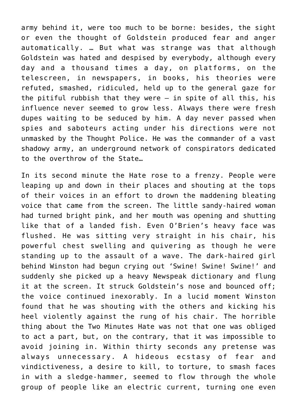army behind it, were too much to be borne: besides, the sight or even the thought of Goldstein produced fear and anger automatically. … But what was strange was that although Goldstein was hated and despised by everybody, although every day and a thousand times a day, on platforms, on the telescreen, in newspapers, in books, his theories were refuted, smashed, ridiculed, held up to the general gaze for the pitiful rubbish that they were  $-$  in spite of all this, his influence never seemed to grow less. Always there were fresh dupes waiting to be seduced by him. A day never passed when spies and saboteurs acting under his directions were not unmasked by the Thought Police. He was the commander of a vast shadowy army, an underground network of conspirators dedicated to the overthrow of the State…

In its second minute the Hate rose to a frenzy. People were leaping up and down in their places and shouting at the tops of their voices in an effort to drown the maddening bleating voice that came from the screen. The little sandy-haired woman had turned bright pink, and her mouth was opening and shutting like that of a landed fish. Even O'Brien's heavy face was flushed. He was sitting very straight in his chair, his powerful chest swelling and quivering as though he were standing up to the assault of a wave. The dark-haired girl behind Winston had begun crying out 'Swine! Swine! Swine!' and suddenly she picked up a heavy Newspeak dictionary and flung it at the screen. It struck Goldstein's nose and bounced off; the voice continued inexorably. In a lucid moment Winston found that he was shouting with the others and kicking his heel violently against the rung of his chair. The horrible thing about the Two Minutes Hate was not that one was obliged to act a part, but, on the contrary, that it was impossible to avoid joining in. Within thirty seconds any pretense was always unnecessary. A hideous ecstasy of fear and vindictiveness, a desire to kill, to torture, to smash faces in with a sledge-hammer, seemed to flow through the whole group of people like an electric current, turning one even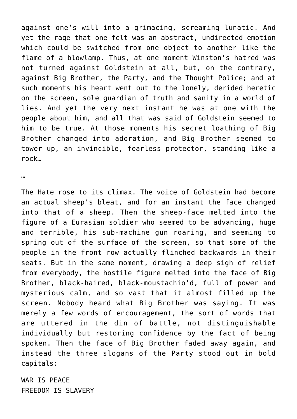against one's will into a grimacing, screaming lunatic. And yet the rage that one felt was an abstract, undirected emotion which could be switched from one object to another like the flame of a blowlamp. Thus, at one moment Winston's hatred was not turned against Goldstein at all, but, on the contrary, against Big Brother, the Party, and the Thought Police; and at such moments his heart went out to the lonely, derided heretic on the screen, sole guardian of truth and sanity in a world of lies. And yet the very next instant he was at one with the people about him, and all that was said of Goldstein seemed to him to be true. At those moments his secret loathing of Big Brother changed into adoration, and Big Brother seemed to tower up, an invincible, fearless protector, standing like a rock…

…

The Hate rose to its climax. The voice of Goldstein had become an actual sheep's bleat, and for an instant the face changed into that of a sheep. Then the sheep-face melted into the figure of a Eurasian soldier who seemed to be advancing, huge and terrible, his sub-machine gun roaring, and seeming to spring out of the surface of the screen, so that some of the people in the front row actually flinched backwards in their seats. But in the same moment, drawing a deep sigh of relief from everybody, the hostile figure melted into the face of Big Brother, black-haired, black-moustachio'd, full of power and mysterious calm, and so vast that it almost filled up the screen. Nobody heard what Big Brother was saying. It was merely a few words of encouragement, the sort of words that are uttered in the din of battle, not distinguishable individually but restoring confidence by the fact of being spoken. Then the face of Big Brother faded away again, and instead the three slogans of the Party stood out in bold capitals:

WAR IS PEACE FREEDOM IS SLAVERY